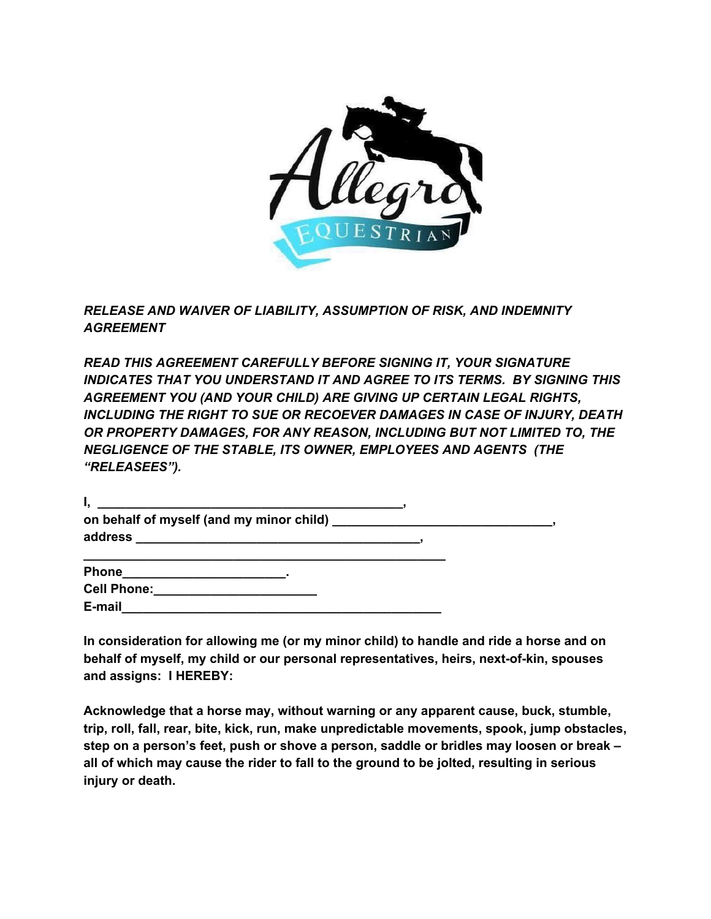

*RELEASE AND WAIVER OF LIABILITY, ASSUMPTION OF RISK, AND INDEMNITY AGREEMENT*

*READ THIS AGREEMENT CAREFULLY BEFORE SIGNING IT, YOUR SIGNATURE INDICATES THAT YOU UNDERSTAND IT AND AGREE TO ITS TERMS. BY SIGNING THIS AGREEMENT YOU (AND YOUR CHILD) ARE GIVING UP CERTAIN LEGAL RIGHTS, INCLUDING THE RIGHT TO SUE OR RECOEVER DAMAGES IN CASE OF INJURY, DEATH OR PROPERTY DAMAGES, FOR ANY REASON, INCLUDING BUT NOT LIMITED TO, THE NEGLIGENCE OF THE STABLE, ITS OWNER, EMPLOYEES AND AGENTS (THE "RELEASEES").*

| on behalf of myself (and my minor child) ____________________________ |  |
|-----------------------------------------------------------------------|--|
| address                                                               |  |
|                                                                       |  |

| <b>Phone</b>       |  |
|--------------------|--|
| <b>Cell Phone:</b> |  |
| E-mail             |  |

**In consideration for allowing me (or my minor child) to handle and ride a horse and on behalf of myself, my child or our personal representatives, heirs, next-of-kin, spouses and assigns: I HEREBY:**

**Acknowledge that a horse may, without warning or any apparent cause, buck, stumble, trip, roll, fall, rear, bite, kick, run, make unpredictable movements, spook, jump obstacles, step on a person's feet, push or shove a person, saddle or bridles may loosen or break – all of which may cause the rider to fall to the ground to be jolted, resulting in serious injury or death.**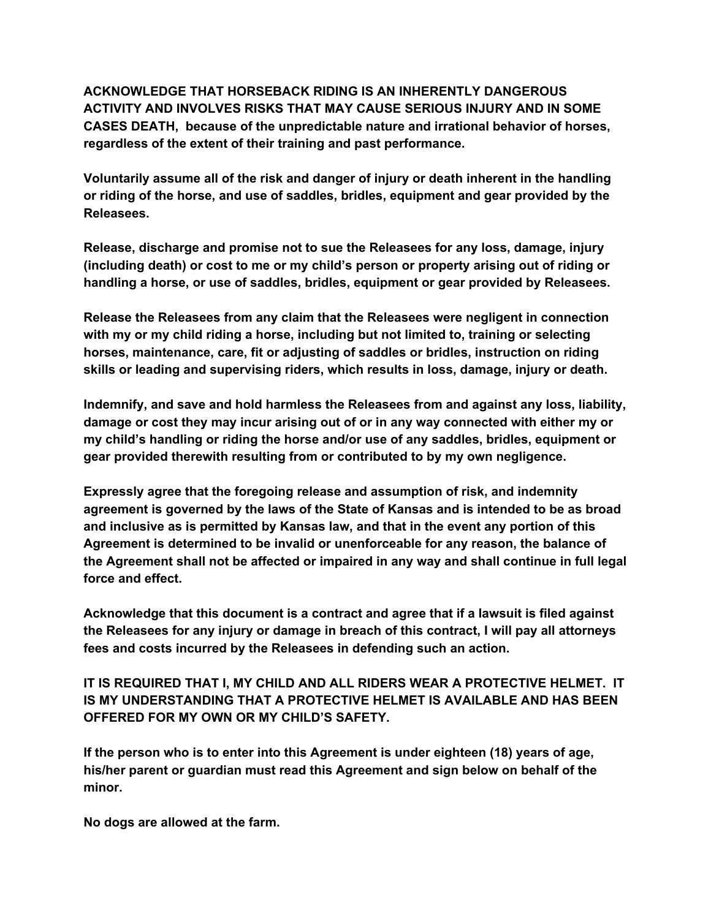**ACKNOWLEDGE THAT HORSEBACK RIDING IS AN INHERENTLY DANGEROUS ACTIVITY AND INVOLVES RISKS THAT MAY CAUSE SERIOUS INJURY AND IN SOME CASES DEATH, because of the unpredictable nature and irrational behavior of horses, regardless of the extent of their training and past performance.**

**Voluntarily assume all of the risk and danger of injury or death inherent in the handling or riding of the horse, and use of saddles, bridles, equipment and gear provided by the Releasees.**

**Release, discharge and promise not to sue the Releasees for any loss, damage, injury (including death) or cost to me or my child's person or property arising out of riding or handling a horse, or use of saddles, bridles, equipment or gear provided by Releasees.**

**Release the Releasees from any claim that the Releasees were negligent in connection with my or my child riding a horse, including but not limited to, training or selecting horses, maintenance, care, fit or adjusting of saddles or bridles, instruction on riding skills or leading and supervising riders, which results in loss, damage, injury or death.**

**Indemnify, and save and hold harmless the Releasees from and against any loss, liability, damage or cost they may incur arising out of or in any way connected with either my or my child's handling or riding the horse and/or use of any saddles, bridles, equipment or gear provided therewith resulting from or contributed to by my own negligence.**

**Expressly agree that the foregoing release and assumption of risk, and indemnity agreement is governed by the laws of the State of Kansas and is intended to be as broad and inclusive as is permitted by Kansas law, and that in the event any portion of this Agreement is determined to be invalid or unenforceable for any reason, the balance of the Agreement shall not be affected or impaired in any way and shall continue in full legal force and effect.**

**Acknowledge that this document is a contract and agree that if a lawsuit is filed against the Releasees for any injury or damage in breach of this contract, I will pay all attorneys fees and costs incurred by the Releasees in defending such an action.**

**IT IS REQUIRED THAT I, MY CHILD AND ALL RIDERS WEAR A PROTECTIVE HELMET. IT IS MY UNDERSTANDING THAT A PROTECTIVE HELMET IS AVAILABLE AND HAS BEEN OFFERED FOR MY OWN OR MY CHILD'S SAFETY.**

**If the person who is to enter into this Agreement is under eighteen (18) years of age, his/her parent or guardian must read this Agreement and sign below on behalf of the minor.**

**No dogs are allowed at the farm.**